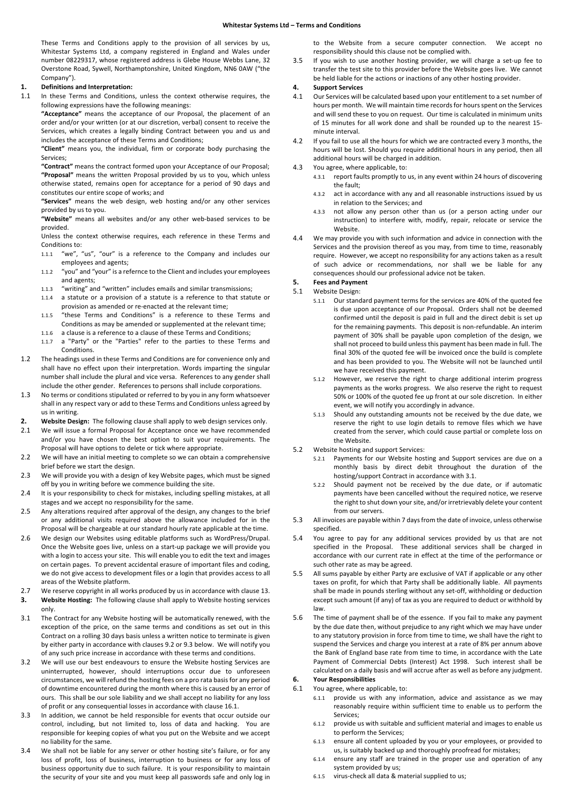#### **Whitestar Systems Ltd – Terms and Conditions**

These Terms and Conditions apply to the provision of all services by us, Whitestar Systems Ltd, a company registered in England and Wales under number 08229317, whose registered address is Glebe House Webbs Lane, 32 Overstone Road, Sywell, Northamptonshire, United Kingdom, NN6 0AW ("the Company").

## **1. Definitions and Interpretation:**

1.1 In these Terms and Conditions, unless the context otherwise requires, the following expressions have the following meanings:

**"Acceptance"** means the acceptance of our Proposal, the placement of an order and/or your written (or at our discretion, verbal) consent to receive the Services, which creates a legally binding Contract between you and us and includes the acceptance of these Terms and Conditions;

**"Client"** means you, the individual, firm or corporate body purchasing the Services;

**"Contract"** means the contract formed upon your Acceptance of our Proposal; **"Proposal"** means the written Proposal provided by us to you, which unless otherwise stated, remains open for acceptance for a period of 90 days and constitutes our entire scope of works; and

**"Services"** means the web design, web hosting and/or any other services provided by us to you.

**"Website"** means all websites and/or any other web-based services to be provided.

Unless the context otherwise requires, each reference in these Terms and Conditions to:

- 1.1.1 "we", "us", "our" is a reference to the Company and includes our employees and agents;
- 1.1.2 "you" and "your" is a refernce to the Client and includes your employees and agents;
- 1.1.3 "writing" and "written" includes emails and similar transmissions;
- 1.1.4 a statute or a provision of a statute is a reference to that statute or provision as amended or re-enacted at the relevant time;
- 1.1.5 "these Terms and Conditions" is a reference to these Terms and Conditions as may be amended or supplemented at the relevant time;
- 1.1.6 a clause is a reference to a clause of these Terms and Conditions; 1.1.7 a "Party" or the "Parties" refer to the parties to these Terms and Conditions.
- 1.2 The headings used in these Terms and Conditions are for convenience only and shall have no effect upon their interpretation. Words imparting the singular number shall include the plural and vice versa. References to any gender shall include the other gender. References to persons shall include corporations.
- 1.3 No terms or conditions stipulated or referred to by you in any form whatsoever shall in any respect vary or add to these Terms and Conditions unless agreed by us in writing.
- **2. Website Design:** The following clause shall apply to web design services only.
- 2.1 We will issue a formal Proposal for Acceptance once we have recommended and/or you have chosen the best option to suit your requirements. The Proposal will have options to delete or tick where appropriate.
- 2.2 We will have an initial meeting to complete so we can obtain a comprehensive brief before we start the design.
- 2.3 We will provide you with a design of key Website pages, which must be signed off by you in writing before we commence building the site.
- 2.4 It is your responsibility to check for mistakes, including spelling mistakes, at all stages and we accept no responsibility for the same.
- 2.5 Any alterations required after approval of the design, any changes to the brief or any additional visits required above the allowance included for in the Proposal will be chargeable at our standard hourly rate applicable at the time.
- 2.6 We design our Websites using editable platforms such as WordPress/Drupal. Once the Website goes live, unless on a start-up package we will provide you with a login to access your site. This will enable you to edit the text and images on certain pages. To prevent accidental erasure of important files and coding, we do not give access to development files or a login that provides access to all areas of the Website platform.
- 2.7 We reserve copyright in all works produced by us in accordance with clause 13. **3. Website Hosting:** The following clause shall apply to Website hosting services only.
- 3.1 The Contract for any Website hosting will be automatically renewed, with the exception of the price, on the same terms and conditions as set out in this Contract on a rolling 30 days basis unless a written notice to terminate is given by either party in accordance with clauses 9.2 or 9.3 below. We will notify you of any such price increase in accordance with these terms and conditions.
- 3.2 We will use our best endeavours to ensure the Website hosting Services are uninterrupted, however, should interruptions occur due to unforeseen circumstances, we will refund the hosting fees on a pro rata basis for any period of downtime encountered during the month where this is caused by an error of ours. This shall be our sole liability and we shall accept no liability for any loss of profit or any consequential losses in accordance with clause 16.1.
- 3.3 In addition, we cannot be held responsible for events that occur outside our control, including, but not limited to, loss of data and hacking. You are responsible for keeping copies of what you put on the Website and we accept no liability for the same.
- 3.4 We shall not be liable for any server or other hosting site's failure, or for any loss of profit, loss of business, interruption to business or for any loss of business opportunity due to such failure. It is your responsibility to maintain the security of your site and you must keep all passwords safe and only log in

to the Website from a secure computer connection. We accept no responsibility should this clause not be complied with.

3.5 If you wish to use another hosting provider, we will charge a set-up fee to transfer the test site to this provider before the Website goes live. We cannot be held liable for the actions or inactions of any other hosting provider.

# **4. Support Services**

- 4.1 Our Services will be calculated based upon your entitlement to a set number of hours per month. We will maintain time records for hours spent on the Services and will send these to you on request. Our time is calculated in minimum units of 15 minutes for all work done and shall be rounded up to the nearest 15 minute interval.
- 4.2 If you fail to use all the hours for which we are contracted every 3 months, the hours will be lost. Should you require additional hours in any period, then all additional hours will be charged in addition.
- 4.3 You agree, where applicable, to:
	- 4.3.1 report faults promptly to us, in any event within 24 hours of discovering the fault;
	- 4.3.2 act in accordance with any and all reasonable instructions issued by us in relation to the Services; and
	- 4.3.3 not allow any person other than us (or a person acting under our instruction) to interfere with, modify, repair, relocate or service the Website.
- 4.4 We may provide you with such information and advice in connection with the Services and the provision thereof as you may, from time to time, reasonably require. However, we accept no responsibility for any actions taken as a result of such advice or recommendations, nor shall we be liable for any consequences should our professional advice not be taken.

# **5. Fees and Payment**

## 5.1 Website Design:

- 5.1.1 Our standard payment terms for the services are 40% of the quoted fee is due upon acceptance of our Proposal. Orders shall not be deemed confirmed until the deposit is paid in full and the direct debit is set up for the remaining payments. This deposit is non-refundable. An interim payment of 30% shall be payable upon completion of the design, we shall not proceed to build unless this payment has been made in full. The final 30% of the quoted fee will be invoiced once the build is complete and has been provided to you. The Website will not be launched until we have received this payment.
	- 5.1.2 However, we reserve the right to charge additional interim progress payments as the works progress. We also reserve the right to request 50% or 100% of the quoted fee up front at our sole discretion. In either event, we will notify you accordingly in advance.
- 5.1.3 Should any outstanding amounts not be received by the due date, we reserve the right to use login details to remove files which we have created from the server, which could cause partial or complete loss on the Website.
- 5.2 Website hosting and support Services:
	- 5.2.1 Payments for our Website hosting and Support services are due on a monthly basis by direct debit throughout the duration of the hosting/support Contract in accordance with 3.1.
	- 5.2.2 Should payment not be received by the due date, or if automatic payments have been cancelled without the required notice, we reserve the right to shut down your site, and/or irretrievably delete your content from our servers.
- 5.3 All invoices are payable within 7 days from the date of invoice, unless otherwise specified.
- 5.4 You agree to pay for any additional services provided by us that are not specified in the Proposal. These additional services shall be charged in accordance with our current rate in effect at the time of the performance or such other rate as may be agreed.
- All sums payable by either Party are exclusive of VAT if applicable or any other taxes on profit, for which that Party shall be additionally liable. All payments shall be made in pounds sterling without any set-off, withholding or deduction except such amount (if any) of tax as you are required to deduct or withhold by law.
- 5.6 The time of payment shall be of the essence. If you fail to make any payment by the due date then, without prejudice to any right which we may have under to any statutory provision in force from time to time, we shall have the right to suspend the Services and charge you interest at a rate of 8% per annum above the Bank of England base rate from time to time, in accordance with the Late Payment of Commercial Debts (Interest) Act 1998. Such interest shall be calculated on a daily basis and will accrue after as well as before any judgment. **6. Your Responsibilities**

# 6.1 You agree, where applicable, to:

- 6.1.1 provide us with any information, advice and assistance as we may reasonably require within sufficient time to enable us to perform the Services;
- provide us with suitable and sufficient material and images to enable us to perform the Services;
- 6.1.3 ensure all content uploaded by you or your employees, or provided to us, is suitably backed up and thoroughly proofread for mistakes;
- 6.1.4 ensure any staff are trained in the proper use and operation of any system provided by us;
- 6.1.5 virus-check all data & material supplied to us;